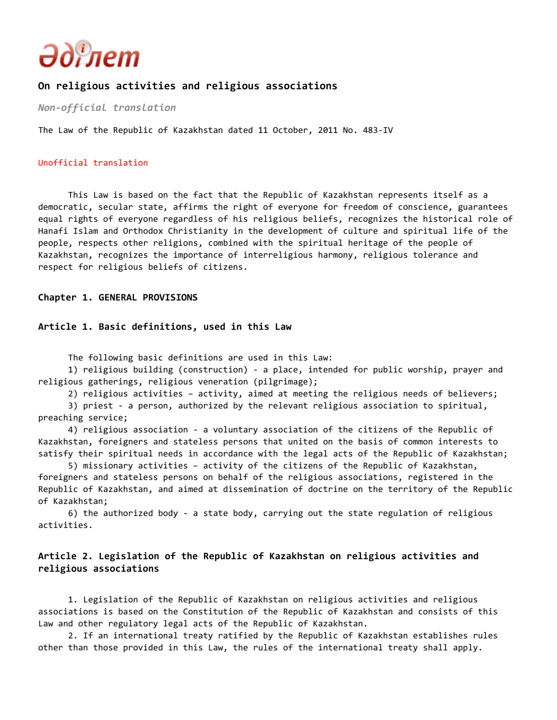

# **On religious activities and religious associations**

*Non-official translation*

The Law of the Republic of Kazakhstan dated 11 October, 2011 No. 483-IV

#### Unofficial translation

 This Law is based on the fact that the Republic of Kazakhstan represents itself as a democratic, secular state, affirms the right of everyone for freedom of conscience, guarantees equal rights of everyone regardless of his religious beliefs, recognizes the historical role of Hanafi Islam and Orthodox Christianity in the development of culture and spiritual life of the people, respects other religions, combined with the spiritual heritage of the people of Kazakhstan, recognizes the importance of interreligious harmony, religious tolerance and respect for religious beliefs of citizens.

#### **Chapter 1. GENERAL PROVISIONS**

#### **Article 1. Basic definitions, used in this Law**

The following basic definitions are used in this Law:

 1) religious building (construction) - a place, intended for public worship, prayer and religious gatherings, religious veneration (pilgrimage);

2) religious activities – activity, aimed at meeting the religious needs of believers;

 3) priest - a person, authorized by the relevant religious association to spiritual, preaching service;

 4) religious association - a voluntary association of the citizens of the Republic of Kazakhstan, foreigners and stateless persons that united on the basis of common interests to satisfy their spiritual needs in accordance with the legal acts of the Republic of Kazakhstan;

 5) missionary activities – activity of the citizens of the Republic of Kazakhstan, foreigners and stateless persons on behalf of the religious associations, registered in the Republic of Kazakhstan, and aimed at dissemination of doctrine on the territory of the Republic of Kazakhstan;

 6) the authorized body - a state body, carrying out the state regulation of religious activities.

# **Article 2. Legislation of the Republic of Kazakhstan on religious activities and religious associations**

 1. Legislation of the Republic of Kazakhstan on religious activities and religious associations is based on the Constitution of the Republic of Kazakhstan and consists of this Law and other regulatory legal acts of the Republic of Kazakhstan.

 2. If an international treaty ratified by the Republic of Kazakhstan establishes rules other than those provided in this Law, the rules of the international treaty shall apply.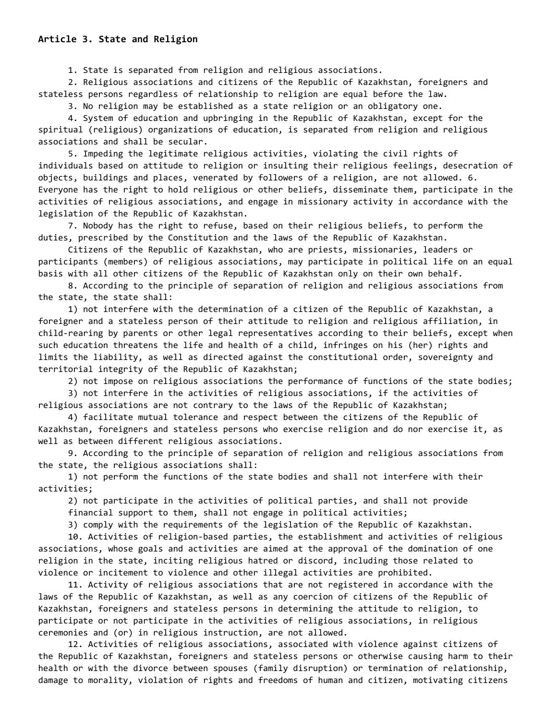1. State is separated from religion and religious associations.

 2. Religious associations and citizens of the Republic of Kazakhstan, foreigners and stateless persons regardless of relationship to religion are equal before the law.

3. No religion may be established as a state religion or an obligatory one.

 4. System of education and upbringing in the Republic of Kazakhstan, except for the spiritual (religious) organizations of education, is separated from religion and religious associations and shall be secular.

 5. Impeding the legitimate religious activities, violating the civil rights of individuals based on attitude to religion or insulting their religious feelings, desecration of objects, buildings and places, venerated by followers of a religion, are not allowed. 6. Everyone has the right to hold religious or other beliefs, disseminate them, participate in the activities of religious associations, and engage in missionary activity in accordance with the legislation of the Republic of Kazakhstan.

 7. Nobody has the right to refuse, based on their religious beliefs, to perform the duties, prescribed by the Constitution and the laws of the Republic of Kazakhstan.

 Citizens of the Republic of Kazakhstan, who are priests, missionaries, leaders or participants (members) of religious associations, may participate in political life on an equal basis with all other citizens of the Republic of Kazakhstan only on their own behalf.

 8. According to the principle of separation of religion and religious associations from the state, the state shall:

 1) not interfere with the determination of a citizen of the Republic of Kazakhstan, a foreigner and a stateless person of their attitude to religion and religious affiliation, in child-rearing by parents or other legal representatives according to their beliefs, except when such education threatens the life and health of a child, infringes on his (her) rights and limits the liability, as well as directed against the constitutional order, sovereignty and territorial integrity of the Republic of Kazakhstan;

2) not impose on religious associations the performance of functions of the state bodies;

 3) not interfere in the activities of religious associations, if the activities of religious associations are not contrary to the laws of the Republic of Kazakhstan;

 4) facilitate mutual tolerance and respect between the citizens of the Republic of Kazakhstan, foreigners and stateless persons who exercise religion and do nor exercise it, as well as between different religious associations.

 9. According to the principle of separation of religion and religious associations from the state, the religious associations shall:

 1) not perform the functions of the state bodies and shall not interfere with their activities;

 2) not participate in the activities of political parties, and shall not provide financial support to them, shall not engage in political activities;

3) comply with the requirements of the legislation of the Republic of Kazakhstan.

 10. Activities of religion-based parties, the establishment and activities of religious associations, whose goals and activities are aimed at the approval of the domination of one religion in the state, inciting religious hatred or discord, including those related to violence or incitement to violence and other illegal activities are prohibited.

 11. Activity of religious associations that are not registered in accordance with the laws of the Republic of Kazakhstan, as well as any coercion of citizens of the Republic of Kazakhstan, foreigners and stateless persons in determining the attitude to religion, to participate or not participate in the activities of religious associations, in religious ceremonies and (or) in religious instruction, are not allowed.

 12. Activities of religious associations, associated with violence against citizens of the Republic of Kazakhstan, foreigners and stateless persons or otherwise causing harm to their health or with the divorce between spouses (family disruption) or termination of relationship, damage to morality, violation of rights and freedoms of human and citizen, motivating citizens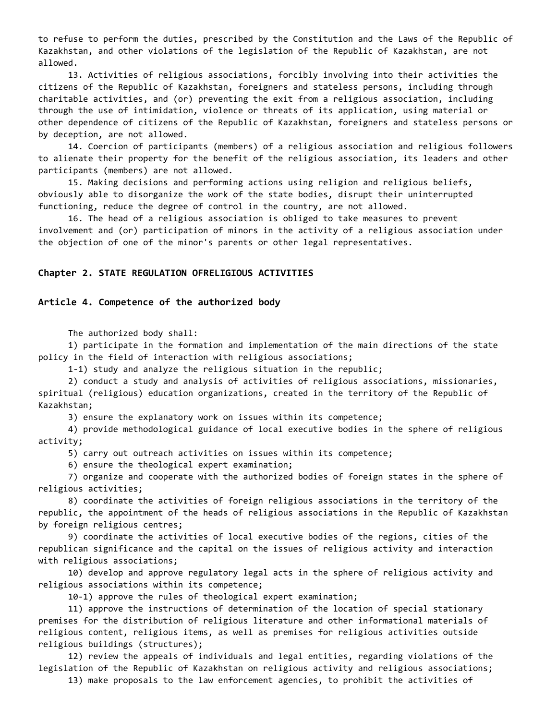to refuse to perform the duties, prescribed by the Constitution and the Laws of the Republic of Kazakhstan, and other violations of the legislation of the Republic of Kazakhstan, are not allowed.

 13. Activities of religious associations, forcibly involving into their activities the citizens of the Republic of Kazakhstan, foreigners and stateless persons, including through charitable activities, and (or) preventing the exit from a religious association, including through the use of intimidation, violence or threats of its application, using material or other dependence of citizens of the Republic of Kazakhstan, foreigners and stateless persons or by deception, are not allowed.

 14. Coercion of participants (members) of a religious association and religious followers to alienate their property for the benefit of the religious association, its leaders and other participants (members) are not allowed.

 15. Making decisions and performing actions using religion and religious beliefs, obviously able to disorganize the work of the state bodies, disrupt their uninterrupted functioning, reduce the degree of control in the country, are not allowed.

 16. The head of a religious association is obliged to take measures to prevent involvement and (or) participation of minors in the activity of a religious association under the objection of one of the minor's parents or other legal representatives.

### **Chapter 2. STATE REGULATION OFRELIGIOUS ACTIVITIES**

#### **Article 4. Competence of the authorized body**

The authorized body shall:

 1) participate in the formation and implementation of the main directions of the state policy in the field of interaction with religious associations;

1-1) study and analyze the religious situation in the republic;

 2) conduct a study and analysis of activities of religious associations, missionaries, spiritual (religious) education organizations, created in the territory of the Republic of Kazakhstan;

3) ensure the explanatory work on issues within its competence;

 4) provide methodological guidance of local executive bodies in the sphere of religious activity;

5) carry out outreach activities on issues within its competence;

6) ensure the theological expert examination;

 7) organize and cooperate with the authorized bodies of foreign states in the sphere of religious activities;

 8) coordinate the activities of foreign religious associations in the territory of the republic, the appointment of the heads of religious associations in the Republic of Kazakhstan by foreign religious centres;

 9) coordinate the activities of local executive bodies of the regions, cities of the republican significance and the capital on the issues of religious activity and interaction with religious associations;

 10) develop and approve regulatory legal acts in the sphere of religious activity and religious associations within its competence;

10-1) approve the rules of theological expert examination;

 11) approve the instructions of determination of the location of special stationary premises for the distribution of religious literature and other informational materials of religious content, religious items, as well as premises for religious activities outside religious buildings (structures);

 12) review the appeals of individuals and legal entities, regarding violations of the legislation of the Republic of Kazakhstan on religious activity and religious associations;

13) make proposals to the law enforcement agencies, to prohibit the activities of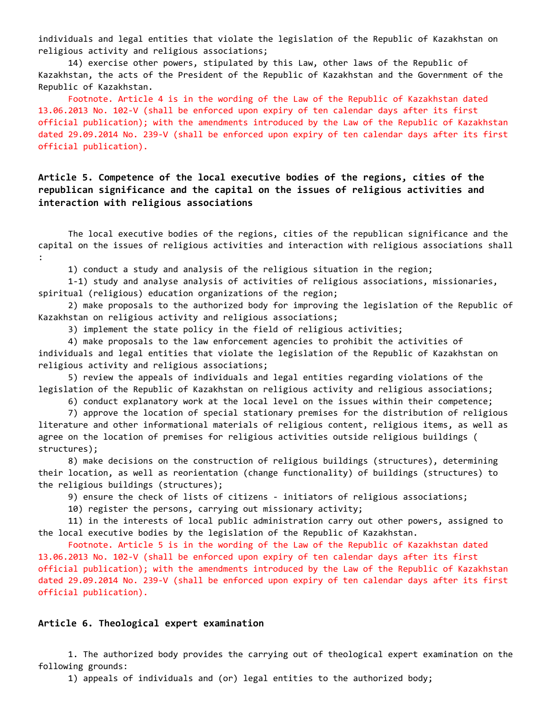individuals and legal entities that violate the legislation of the Republic of Kazakhstan on religious activity and religious associations;

 14) exercise other powers, stipulated by this Law, other laws of the Republic of Kazakhstan, the acts of the President of the Republic of Kazakhstan and the Government of the Republic of Kazakhstan.

 Footnote. Article 4 is in the wording of the Law of the Republic of Kazakhstan dated 13.06.2013 No. 102-V (shall be enforced upon expiry of ten calendar days after its first official publication); with the amendments introduced by the Law of the Republic of Kazakhstan dated 29.09.2014 No. 239-V (shall be enforced upon expiry of ten calendar days after its first official publication).

# **Article 5. Competence of the local executive bodies of the regions, cities of the republican significance and the capital on the issues of religious activities and interaction with religious associations**

 The local executive bodies of the regions, cities of the republican significance and the capital on the issues of religious activities and interaction with religious associations shall :

1) conduct a study and analysis of the religious situation in the region;

 1-1) study and analyse analysis of activities of religious associations, missionaries, spiritual (religious) education organizations of the region;

 2) make proposals to the authorized body for improving the legislation of the Republic of Kazakhstan on religious activity and religious associations;

3) implement the state policy in the field of religious activities;

 4) make proposals to the law enforcement agencies to prohibit the activities of individuals and legal entities that violate the legislation of the Republic of Kazakhstan on religious activity and religious associations;

 5) review the appeals of individuals and legal entities regarding violations of the legislation of the Republic of Kazakhstan on religious activity and religious associations;

6) conduct explanatory work at the local level on the issues within their competence;

 7) approve the location of special stationary premises for the distribution of religious literature and other informational materials of religious content, religious items, as well as agree on the location of premises for religious activities outside religious buildings ( structures);

 8) make decisions on the construction of religious buildings (structures), determining their location, as well as reorientation (change functionality) of buildings (structures) to the religious buildings (structures);

9) ensure the check of lists of citizens - initiators of religious associations;

10) register the persons, carrying out missionary activity;

 11) in the interests of local public administration carry out other powers, assigned to the local executive bodies by the legislation of the Republic of Kazakhstan.

 Footnote. Article 5 is in the wording of the Law of the Republic of Kazakhstan dated 13.06.2013 No. 102-V (shall be enforced upon expiry of ten calendar days after its first official publication); with the amendments introduced by the Law of the Republic of Kazakhstan dated 29.09.2014 No. 239-V (shall be enforced upon expiry of ten calendar days after its first official publication).

### **Article 6. Theological expert examination**

 1. The authorized body provides the carrying out of theological expert examination on the following grounds:

1) appeals of individuals and (or) legal entities to the authorized body;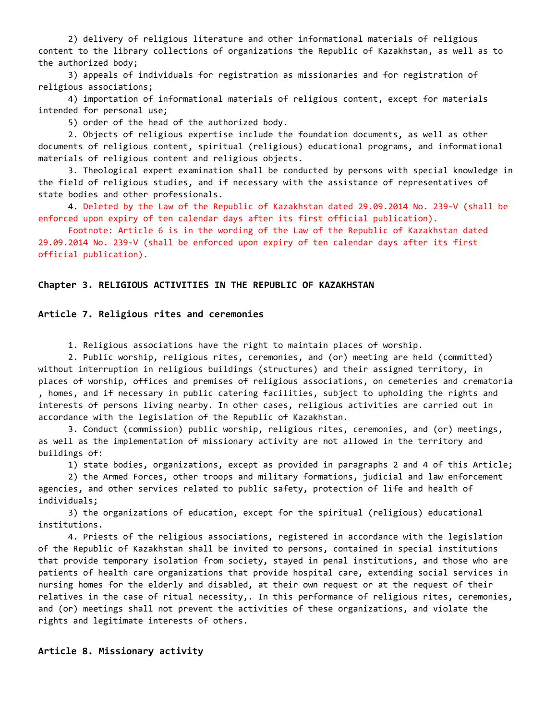2) delivery of religious literature and other informational materials of religious content to the library collections of organizations the Republic of Kazakhstan, as well as to the authorized body;

 3) appeals of individuals for registration as missionaries and for registration of religious associations;

 4) importation of informational materials of religious content, except for materials intended for personal use;

5) order of the head of the authorized body.

 2. Objects of religious expertise include the foundation documents, as well as other documents of religious content, spiritual (religious) educational programs, and informational materials of religious content and religious objects.

 3. Theological expert examination shall be conducted by persons with special knowledge in the field of religious studies, and if necessary with the assistance of representatives of state bodies and other professionals.

 4. Deleted by the Law of the Republic of Kazakhstan dated 29.09.2014 No. 239-V (shall be enforced upon expiry of ten calendar days after its first official publication).

 Footnote: Article 6 is in the wording of the Law of the Republic of Kazakhstan dated 29.09.2014 No. 239-V (shall be enforced upon expiry of ten calendar days after its first official publication).

#### **Chapter 3. RELIGIOUS ACTIVITIES IN THE REPUBLIC OF KAZAKHSTAN**

#### **Article 7. Religious rites and ceremonies**

1. Religious associations have the right to maintain places of worship.

 2. Public worship, religious rites, ceremonies, and (or) meeting are held (committed) without interruption in religious buildings (structures) and their assigned territory, in places of worship, offices and premises of religious associations, on cemeteries and crematoria , homes, and if necessary in public catering facilities, subject to upholding the rights and interests of persons living nearby. In other cases, religious activities are carried out in accordance with the legislation of the Republic of Kazakhstan.

 3. Conduct (commission) public worship, religious rites, ceremonies, and (or) meetings, as well as the implementation of missionary activity are not allowed in the territory and buildings of:

1) state bodies, organizations, except as provided in paragraphs 2 and 4 of this Article;

 2) the Armed Forces, other troops and military formations, judicial and law enforcement agencies, and other services related to public safety, protection of life and health of individuals;

 3) the organizations of education, except for the spiritual (religious) educational institutions.

 4. Priests of the religious associations, registered in accordance with the legislation of the Republic of Kazakhstan shall be invited to persons, contained in special institutions that provide temporary isolation from society, stayed in penal institutions, and those who are patients of health care organizations that provide hospital care, extending social services in nursing homes for the elderly and disabled, at their own request or at the request of their relatives in the case of ritual necessity,. In this performance of religious rites, ceremonies, and (or) meetings shall not prevent the activities of these organizations, and violate the rights and legitimate interests of others.

#### **Article 8. Missionary activity**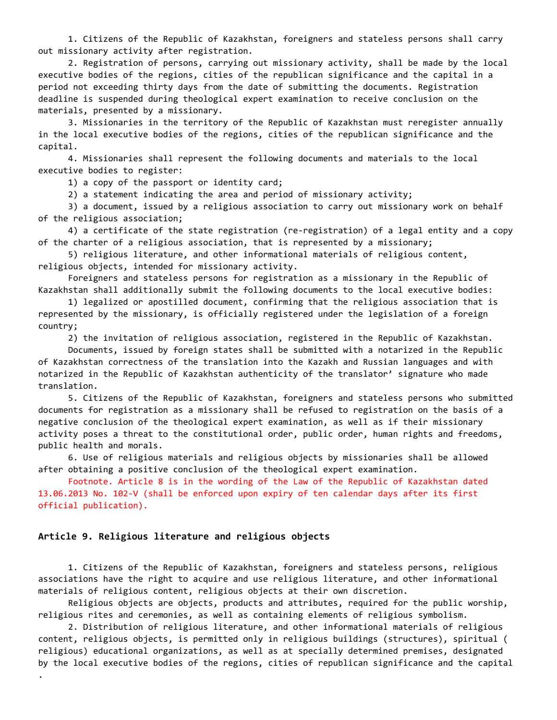1. Citizens of the Republic of Kazakhstan, foreigners and stateless persons shall carry out missionary activity after registration.

 2. Registration of persons, carrying out missionary activity, shall be made by the local executive bodies of the regions, cities of the republican significance and the capital in a period not exceeding thirty days from the date of submitting the documents. Registration deadline is suspended during theological expert examination to receive conclusion on the materials, presented by a missionary.

 3. Missionaries in the territory of the Republic of Kazakhstan must reregister annually in the local executive bodies of the regions, cities of the republican significance and the capital.

 4. Missionaries shall represent the following documents and materials to the local executive bodies to register:

1) a copy of the passport or identity card;

2) a statement indicating the area and period of missionary activity;

 3) a document, issued by a religious association to carry out missionary work on behalf of the religious association;

 4) a certificate of the state registration (re-registration) of a legal entity and a copy of the charter of a religious association, that is represented by a missionary;

 5) religious literature, and other informational materials of religious content, religious objects, intended for missionary activity.

 Foreigners and stateless persons for registration as a missionary in the Republic of Kazakhstan shall additionally submit the following documents to the local executive bodies:

 1) legalized or apostilled document, confirming that the religious association that is represented by the missionary, is officially registered under the legislation of a foreign country;

2) the invitation of religious association, registered in the Republic of Kazakhstan.

 Documents, issued by foreign states shall be submitted with a notarized in the Republic of Kazakhstan correctness of the translation into the Kazakh and Russian languages and with notarized in the Republic of Kazakhstan authenticity of the translator' signature who made translation.

 5. Citizens of the Republic of Kazakhstan, foreigners and stateless persons who submitted documents for registration as a missionary shall be refused to registration on the basis of a negative conclusion of the theological expert examination, as well as if their missionary activity poses a threat to the constitutional order, public order, human rights and freedoms, public health and morals.

 6. Use of religious materials and religious objects by missionaries shall be allowed after obtaining a positive conclusion of the theological expert examination.

 Footnote. Article 8 is in the wording of the Law of the Republic of Kazakhstan dated 13.06.2013 No. 102-V (shall be enforced upon expiry of ten calendar days after its first official publication).

### **Article 9. Religious literature and religious objects**

.

 1. Citizens of the Republic of Kazakhstan, foreigners and stateless persons, religious associations have the right to acquire and use religious literature, and other informational materials of religious content, religious objects at their own discretion.

 Religious objects are objects, products and attributes, required for the public worship, religious rites and ceremonies, as well as containing elements of religious symbolism.

 2. Distribution of religious literature, and other informational materials of religious content, religious objects, is permitted only in religious buildings (structures), spiritual ( religious) educational organizations, as well as at specially determined premises, designated by the local executive bodies of the regions, cities of republican significance and the capital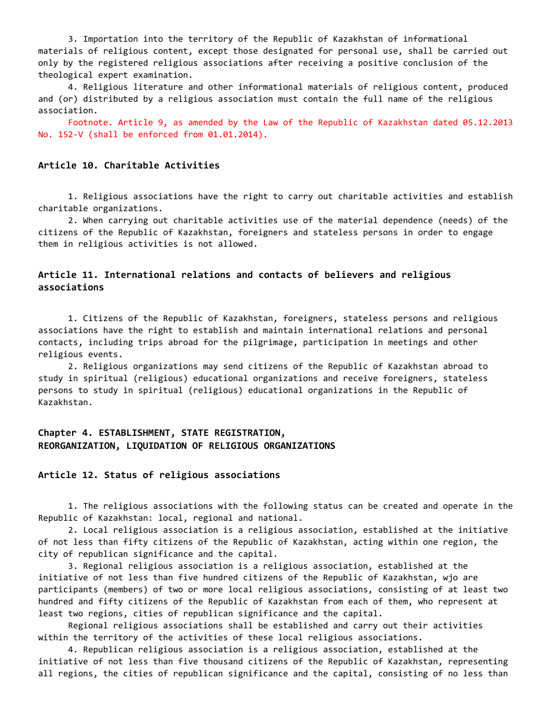3. Importation into the territory of the Republic of Kazakhstan of informational materials of religious content, except those designated for personal use, shall be carried out only by the registered religious associations after receiving a positive conclusion of the theological expert examination.

 4. Religious literature and other informational materials of religious content, produced and (or) distributed by a religious association must contain the full name of the religious association.

 Footnote. Article 9, as amended by the Law of the Republic of Kazakhstan dated 05.12.2013 No. 152-V (shall be enforced from 01.01.2014).

## **Article 10. Charitable Activities**

 1. Religious associations have the right to carry out charitable activities and establish charitable organizations.

 2. When carrying out charitable activities use of the material dependence (needs) of the citizens of the Republic of Kazakhstan, foreigners and stateless persons in order to engage them in religious activities is not allowed.

# **Article 11. International relations and contacts of believers and religious associations**

 1. Citizens of the Republic of Kazakhstan, foreigners, stateless persons and religious associations have the right to establish and maintain international relations and personal contacts, including trips abroad for the pilgrimage, participation in meetings and other religious events.

 2. Religious organizations may send citizens of the Republic of Kazakhstan abroad to study in spiritual (religious) educational organizations and receive foreigners, stateless persons to study in spiritual (religious) educational organizations in the Republic of Kazakhstan.

## **Chapter 4. ESTABLISHMENT, STATE REGISTRATION, REORGANIZATION, LIQUIDATION OF RELIGIOUS ORGANIZATIONS**

### **Article 12. Status of religious associations**

 1. The religious associations with the following status can be created and operate in the Republic of Kazakhstan: local, regional and national.

 2. Local religious association is a religious association, established at the initiative of not less than fifty citizens of the Republic of Kazakhstan, acting within one region, the city of republican significance and the capital.

 3. Regional religious association is a religious association, established at the initiative of not less than five hundred citizens of the Republic of Kazakhstan, wjo are participants (members) of two or more local religious associations, consisting of at least two hundred and fifty citizens of the Republic of Kazakhstan from each of them, who represent at least two regions, cities of republican significance and the capital.

 Regional religious associations shall be established and carry out their activities within the territory of the activities of these local religious associations.

 4. Republican religious association is a religious association, established at the initiative of not less than five thousand citizens of the Republic of Kazakhstan, representing all regions, the cities of republican significance and the capital, consisting of no less than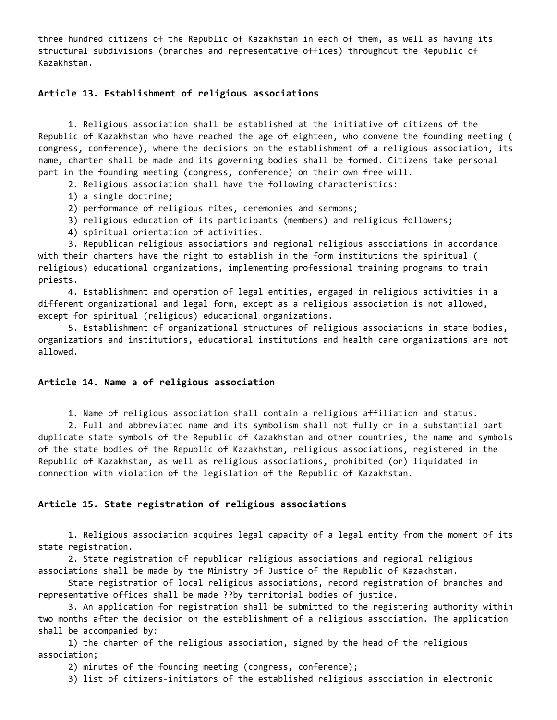three hundred citizens of the Republic of Kazakhstan in each of them, as well as having its structural subdivisions (branches and representative offices) throughout the Republic of Kazakhstan.

#### **Article 13. Establishment of religious associations**

 1. Religious association shall be established at the initiative of citizens of the Republic of Kazakhstan who have reached the age of eighteen, who convene the founding meeting ( congress, conference), where the decisions on the establishment of a religious association, its name, charter shall be made and its governing bodies shall be formed. Citizens take personal part in the founding meeting (congress, conference) on their own free will.

2. Religious association shall have the following characteristics:

1) a single doctrine;

2) performance of religious rites, ceremonies and sermons;

- 3) religious education of its participants (members) and religious followers;
- 4) spiritual orientation of activities.

 3. Republican religious associations and regional religious associations in accordance with their charters have the right to establish in the form institutions the spiritual ( religious) educational organizations, implementing professional training programs to train priests.

 4. Establishment and operation of legal entities, engaged in religious activities in a different organizational and legal form, except as a religious association is not allowed, except for spiritual (religious) educational organizations.

 5. Establishment of organizational structures of religious associations in state bodies, organizations and institutions, educational institutions and health care organizations are not allowed.

### **Article 14. Name a of religious association**

1. Name of religious association shall contain a religious affiliation and status.

 2. Full and abbreviated name and its symbolism shall not fully or in a substantial part duplicate state symbols of the Republic of Kazakhstan and other countries, the name and symbols of the state bodies of the Republic of Kazakhstan, religious associations, registered in the Republic of Kazakhstan, as well as religious associations, prohibited (or) liquidated in connection with violation of the legislation of the Republic of Kazakhstan.

#### **Article 15. State registration of religious associations**

 1. Religious association acquires legal capacity of a legal entity from the moment of its state registration.

 2. State registration of republican religious associations and regional religious associations shall be made by the Ministry of Justice of the Republic of Kazakhstan.

 State registration of local religious associations, record registration of branches and representative offices shall be made ??by territorial bodies of justice.

 3. An application for registration shall be submitted to the registering authority within two months after the decision on the establishment of a religious association. The application shall be accompanied by:

 1) the charter of the religious association, signed by the head of the religious association;

2) minutes of the founding meeting (congress, conference);

3) list of citizens-initiators of the established religious association in electronic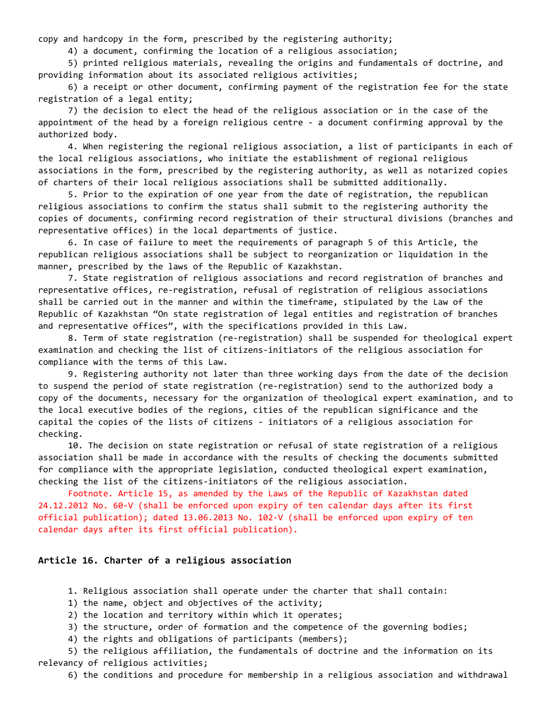copy and hardcopy in the form, prescribed by the registering authority;

4) a document, confirming the location of a religious association;

 5) printed religious materials, revealing the origins and fundamentals of doctrine, and providing information about its associated religious activities;

 6) a receipt or other document, confirming payment of the registration fee for the state registration of a legal entity;

 7) the decision to elect the head of the religious association or in the case of the appointment of the head by a foreign religious centre - a document confirming approval by the authorized body.

 4. When registering the regional religious association, a list of participants in each of the local religious associations, who initiate the establishment of regional religious associations in the form, prescribed by the registering authority, as well as notarized copies of charters of their local religious associations shall be submitted additionally.

 5. Prior to the expiration of one year from the date of registration, the republican religious associations to confirm the status shall submit to the registering authority the copies of documents, confirming record registration of their structural divisions (branches and representative offices) in the local departments of justice.

 6. In case of failure to meet the requirements of paragraph 5 of this Article, the republican religious associations shall be subject to reorganization or liquidation in the manner, prescribed by the laws of the Republic of Kazakhstan.

 7. State registration of religious associations and record registration of branches and representative offices, re-registration, refusal of registration of religious associations shall be carried out in the manner and within the timeframe, stipulated by the Law of the Republic of Kazakhstan "On state registration of legal entities and registration of branches and representative offices", with the specifications provided in this Law.

 8. Term of state registration (re-registration) shall be suspended for theological expert examination and checking the list of citizens-initiators of the religious association for compliance with the terms of this Law.

 9. Registering authority not later than three working days from the date of the decision to suspend the period of state registration (re-registration) send to the authorized body a copy of the documents, necessary for the organization of theological expert examination, and to the local executive bodies of the regions, cities of the republican significance and the capital the copies of the lists of citizens - initiators of a religious association for checking.

 10. The decision on state registration or refusal of state registration of a religious association shall be made in accordance with the results of checking the documents submitted for compliance with the appropriate legislation, conducted theological expert examination, checking the list of the citizens-initiators of the religious association.

 Footnote. Article 15, as amended by the Laws of the Republic of Kazakhstan dated 24.12.2012 No. 60-V (shall be enforced upon expiry of ten calendar days after its first official publication); dated 13.06.2013 No. 102-V (shall be enforced upon expiry of ten calendar days after its first official publication).

### **Article 16. Charter of a religious association**

- 1. Religious association shall operate under the charter that shall contain:
- 1) the name, object and objectives of the activity;
- 2) the location and territory within which it operates;
- 3) the structure, order of formation and the competence of the governing bodies;
- 4) the rights and obligations of participants (members);

 5) the religious affiliation, the fundamentals of doctrine and the information on its relevancy of religious activities;

6) the conditions and procedure for membership in a religious association and withdrawal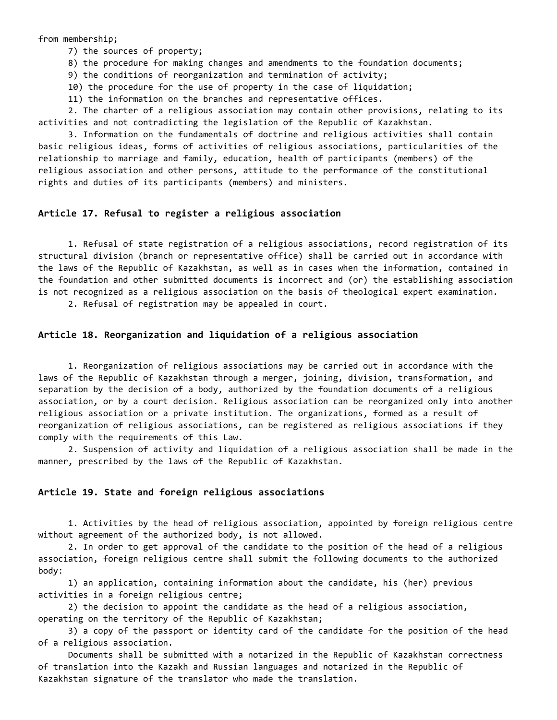from membership;

7) the sources of property;

8) the procedure for making changes and amendments to the foundation documents;

9) the conditions of reorganization and termination of activity;

10) the procedure for the use of property in the case of liquidation;

11) the information on the branches and representative offices.

 2. The charter of a religious association may contain other provisions, relating to its activities and not contradicting the legislation of the Republic of Kazakhstan.

 3. Information on the fundamentals of doctrine and religious activities shall contain basic religious ideas, forms of activities of religious associations, particularities of the relationship to marriage and family, education, health of participants (members) of the religious association and other persons, attitude to the performance of the constitutional rights and duties of its participants (members) and ministers.

### **Article 17. Refusal to register a religious association**

 1. Refusal of state registration of a religious associations, record registration of its structural division (branch or representative office) shall be carried out in accordance with the laws of the Republic of Kazakhstan, as well as in cases when the information, contained in the foundation and other submitted documents is incorrect and (or) the establishing association is not recognized as a religious association on the basis of theological expert examination.

2. Refusal of registration may be appealed in court.

# **Article 18. Reorganization and liquidation of a religious association**

 1. Reorganization of religious associations may be carried out in accordance with the laws of the Republic of Kazakhstan through a merger, joining, division, transformation, and separation by the decision of a body, authorized by the foundation documents of a religious association, or by a court decision. Religious association can be reorganized only into another religious association or a private institution. The organizations, formed as a result of reorganization of religious associations, can be registered as religious associations if they comply with the requirements of this Law.

 2. Suspension of activity and liquidation of a religious association shall be made in the manner, prescribed by the laws of the Republic of Kazakhstan.

#### **Article 19. State and foreign religious associations**

 1. Activities by the head of religious association, appointed by foreign religious centre without agreement of the authorized body, is not allowed.

 2. In order to get approval of the candidate to the position of the head of a religious association, foreign religious centre shall submit the following documents to the authorized body:

 1) an application, containing information about the candidate, his (her) previous activities in a foreign religious centre;

 2) the decision to appoint the candidate as the head of a religious association, operating on the territory of the Republic of Kazakhstan;

 3) a copy of the passport or identity card of the candidate for the position of the head of a religious association.

 Documents shall be submitted with a notarized in the Republic of Kazakhstan correctness of translation into the Kazakh and Russian languages and notarized in the Republic of Kazakhstan signature of the translator who made the translation.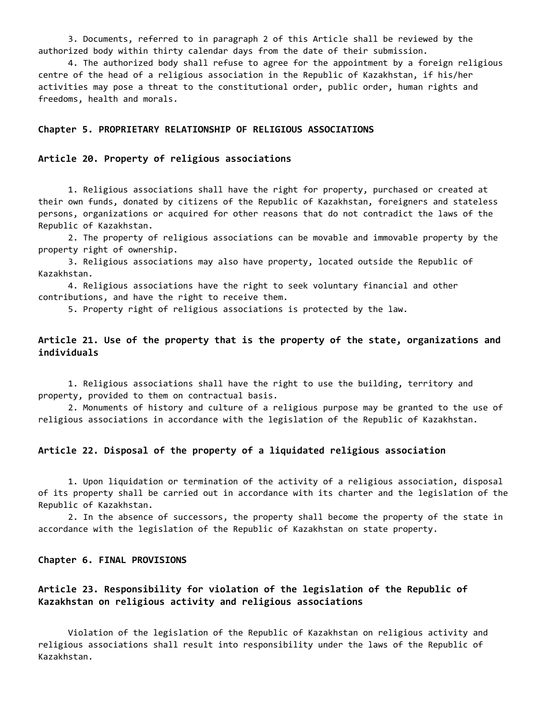3. Documents, referred to in paragraph 2 of this Article shall be reviewed by the authorized body within thirty calendar days from the date of their submission.

 4. The authorized body shall refuse to agree for the appointment by a foreign religious centre of the head of a religious association in the Republic of Kazakhstan, if his/her activities may pose a threat to the constitutional order, public order, human rights and freedoms, health and morals.

#### **Chapter 5. PROPRIETARY RELATIONSHIP OF RELIGIOUS ASSOCIATIONS**

#### **Article 20. Property of religious associations**

 1. Religious associations shall have the right for property, purchased or created at their own funds, donated by citizens of the Republic of Kazakhstan, foreigners and stateless persons, organizations or acquired for other reasons that do not contradict the laws of the Republic of Kazakhstan.

 2. The property of religious associations can be movable and immovable property by the property right of ownership.

 3. Religious associations may also have property, located outside the Republic of Kazakhstan.

 4. Religious associations have the right to seek voluntary financial and other contributions, and have the right to receive them.

5. Property right of religious associations is protected by the law.

# **Article 21. Use of the property that is the property of the state, organizations and individuals**

 1. Religious associations shall have the right to use the building, territory and property, provided to them on contractual basis.

 2. Monuments of history and culture of a religious purpose may be granted to the use of religious associations in accordance with the legislation of the Republic of Kazakhstan.

## **Article 22. Disposal of the property of a liquidated religious association**

 1. Upon liquidation or termination of the activity of a religious association, disposal of its property shall be carried out in accordance with its charter and the legislation of the Republic of Kazakhstan.

 2. In the absence of successors, the property shall become the property of the state in accordance with the legislation of the Republic of Kazakhstan on state property.

**Chapter 6. FINAL PROVISIONS**

# **Article 23. Responsibility for violation of the legislation of the Republic of Kazakhstan on religious activity and religious associations**

 Violation of the legislation of the Republic of Kazakhstan on religious activity and religious associations shall result into responsibility under the laws of the Republic of Kazakhstan.